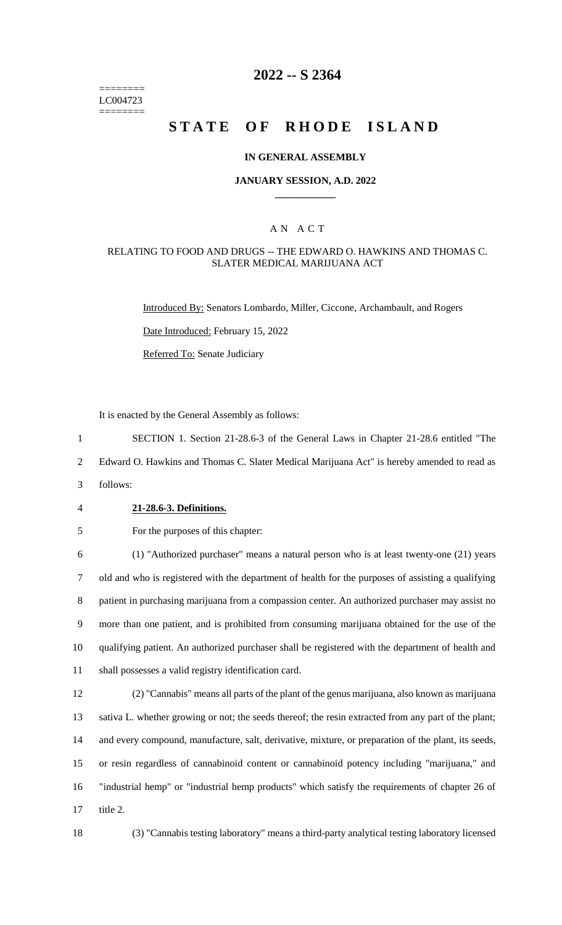======== LC004723 ========

# **2022 -- S 2364**

# **STATE OF RHODE ISLAND**

### **IN GENERAL ASSEMBLY**

### **JANUARY SESSION, A.D. 2022 \_\_\_\_\_\_\_\_\_\_\_\_**

## A N A C T

### RELATING TO FOOD AND DRUGS -- THE EDWARD O. HAWKINS AND THOMAS C. SLATER MEDICAL MARIJUANA ACT

Introduced By: Senators Lombardo, Miller, Ciccone, Archambault, and Rogers

Date Introduced: February 15, 2022

Referred To: Senate Judiciary

It is enacted by the General Assembly as follows:

1 SECTION 1. Section 21-28.6-3 of the General Laws in Chapter 21-28.6 entitled "The

2 Edward O. Hawkins and Thomas C. Slater Medical Marijuana Act" is hereby amended to read as

3 follows:

### 4 **21-28.6-3. Definitions.**

5 For the purposes of this chapter:

 (1) "Authorized purchaser" means a natural person who is at least twenty-one (21) years old and who is registered with the department of health for the purposes of assisting a qualifying patient in purchasing marijuana from a compassion center. An authorized purchaser may assist no more than one patient, and is prohibited from consuming marijuana obtained for the use of the qualifying patient. An authorized purchaser shall be registered with the department of health and shall possesses a valid registry identification card.

 (2) "Cannabis" means all parts of the plant of the genus marijuana, also known as marijuana sativa L. whether growing or not; the seeds thereof; the resin extracted from any part of the plant; and every compound, manufacture, salt, derivative, mixture, or preparation of the plant, its seeds, or resin regardless of cannabinoid content or cannabinoid potency including "marijuana," and "industrial hemp" or "industrial hemp products" which satisfy the requirements of chapter 26 of 17 title 2.

18 (3) "Cannabis testing laboratory" means a third-party analytical testing laboratory licensed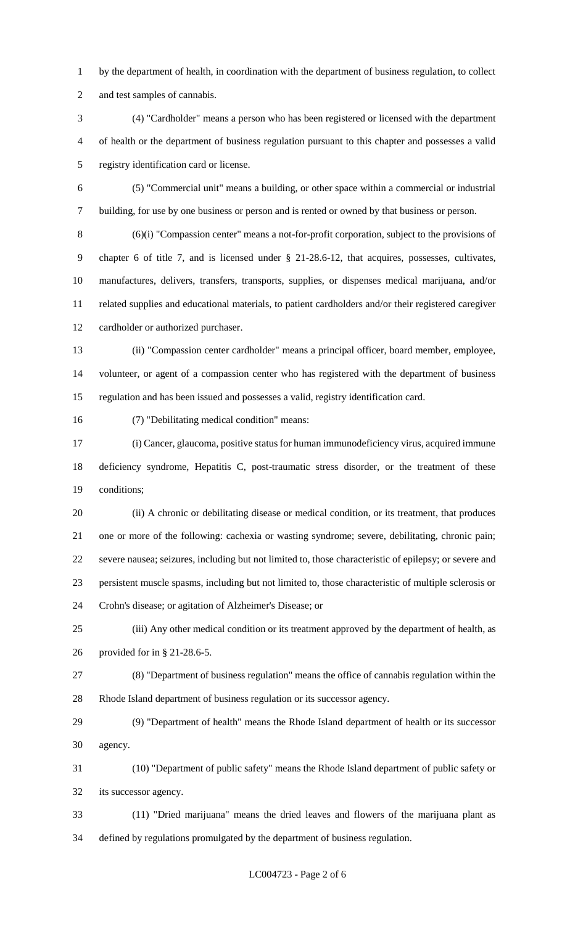by the department of health, in coordination with the department of business regulation, to collect and test samples of cannabis.

 (4) "Cardholder" means a person who has been registered or licensed with the department of health or the department of business regulation pursuant to this chapter and possesses a valid registry identification card or license.

 (5) "Commercial unit" means a building, or other space within a commercial or industrial building, for use by one business or person and is rented or owned by that business or person.

 (6)(i) "Compassion center" means a not-for-profit corporation, subject to the provisions of chapter 6 of title 7, and is licensed under § 21-28.6-12, that acquires, possesses, cultivates, manufactures, delivers, transfers, transports, supplies, or dispenses medical marijuana, and/or related supplies and educational materials, to patient cardholders and/or their registered caregiver cardholder or authorized purchaser.

 (ii) "Compassion center cardholder" means a principal officer, board member, employee, volunteer, or agent of a compassion center who has registered with the department of business regulation and has been issued and possesses a valid, registry identification card.

(7) "Debilitating medical condition" means:

 (i) Cancer, glaucoma, positive status for human immunodeficiency virus, acquired immune deficiency syndrome, Hepatitis C, post-traumatic stress disorder, or the treatment of these conditions;

 (ii) A chronic or debilitating disease or medical condition, or its treatment, that produces one or more of the following: cachexia or wasting syndrome; severe, debilitating, chronic pain; severe nausea; seizures, including but not limited to, those characteristic of epilepsy; or severe and persistent muscle spasms, including but not limited to, those characteristic of multiple sclerosis or Crohn's disease; or agitation of Alzheimer's Disease; or

 (iii) Any other medical condition or its treatment approved by the department of health, as provided for in § 21-28.6-5.

 (8) "Department of business regulation" means the office of cannabis regulation within the Rhode Island department of business regulation or its successor agency.

 (9) "Department of health" means the Rhode Island department of health or its successor agency.

 (10) "Department of public safety" means the Rhode Island department of public safety or its successor agency.

 (11) "Dried marijuana" means the dried leaves and flowers of the marijuana plant as defined by regulations promulgated by the department of business regulation.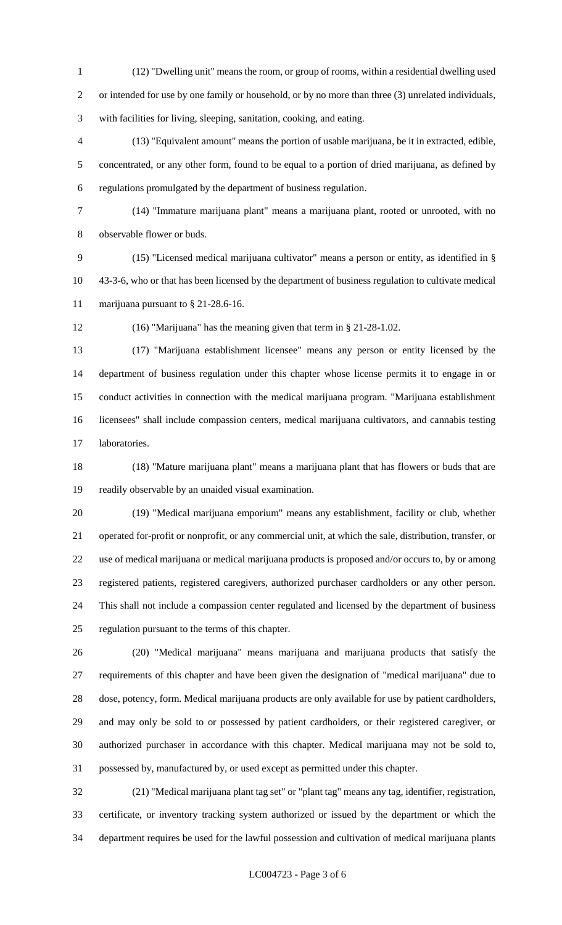(12) "Dwelling unit" means the room, or group of rooms, within a residential dwelling used or intended for use by one family or household, or by no more than three (3) unrelated individuals, with facilities for living, sleeping, sanitation, cooking, and eating.

 (13) "Equivalent amount" means the portion of usable marijuana, be it in extracted, edible, concentrated, or any other form, found to be equal to a portion of dried marijuana, as defined by regulations promulgated by the department of business regulation.

 (14) "Immature marijuana plant" means a marijuana plant, rooted or unrooted, with no observable flower or buds.

 (15) "Licensed medical marijuana cultivator" means a person or entity, as identified in § 43-3-6, who or that has been licensed by the department of business regulation to cultivate medical marijuana pursuant to § 21-28.6-16.

(16) "Marijuana" has the meaning given that term in § 21-28-1.02.

 (17) "Marijuana establishment licensee" means any person or entity licensed by the department of business regulation under this chapter whose license permits it to engage in or conduct activities in connection with the medical marijuana program. "Marijuana establishment licensees" shall include compassion centers, medical marijuana cultivators, and cannabis testing laboratories.

 (18) "Mature marijuana plant" means a marijuana plant that has flowers or buds that are readily observable by an unaided visual examination.

 (19) "Medical marijuana emporium" means any establishment, facility or club, whether operated for-profit or nonprofit, or any commercial unit, at which the sale, distribution, transfer, or use of medical marijuana or medical marijuana products is proposed and/or occurs to, by or among registered patients, registered caregivers, authorized purchaser cardholders or any other person. This shall not include a compassion center regulated and licensed by the department of business regulation pursuant to the terms of this chapter.

 (20) "Medical marijuana" means marijuana and marijuana products that satisfy the requirements of this chapter and have been given the designation of "medical marijuana" due to dose, potency, form. Medical marijuana products are only available for use by patient cardholders, and may only be sold to or possessed by patient cardholders, or their registered caregiver, or authorized purchaser in accordance with this chapter. Medical marijuana may not be sold to, possessed by, manufactured by, or used except as permitted under this chapter.

 (21) "Medical marijuana plant tag set" or "plant tag" means any tag, identifier, registration, certificate, or inventory tracking system authorized or issued by the department or which the department requires be used for the lawful possession and cultivation of medical marijuana plants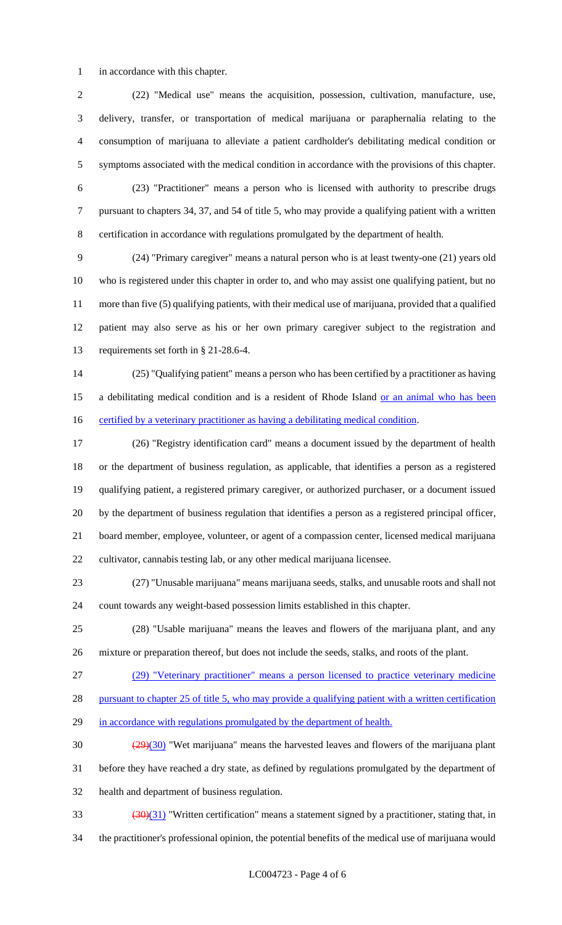in accordance with this chapter.

 (22) "Medical use" means the acquisition, possession, cultivation, manufacture, use, delivery, transfer, or transportation of medical marijuana or paraphernalia relating to the consumption of marijuana to alleviate a patient cardholder's debilitating medical condition or symptoms associated with the medical condition in accordance with the provisions of this chapter.

 (23) "Practitioner" means a person who is licensed with authority to prescribe drugs pursuant to chapters 34, 37, and 54 of title 5, who may provide a qualifying patient with a written certification in accordance with regulations promulgated by the department of health.

 (24) "Primary caregiver" means a natural person who is at least twenty-one (21) years old who is registered under this chapter in order to, and who may assist one qualifying patient, but no more than five (5) qualifying patients, with their medical use of marijuana, provided that a qualified patient may also serve as his or her own primary caregiver subject to the registration and requirements set forth in § 21-28.6-4.

 (25) "Qualifying patient" means a person who has been certified by a practitioner as having 15 a debilitating medical condition and is a resident of Rhode Island or an animal who has been 16 certified by a veterinary practitioner as having a debilitating medical condition.

 (26) "Registry identification card" means a document issued by the department of health or the department of business regulation, as applicable, that identifies a person as a registered qualifying patient, a registered primary caregiver, or authorized purchaser, or a document issued by the department of business regulation that identifies a person as a registered principal officer, board member, employee, volunteer, or agent of a compassion center, licensed medical marijuana cultivator, cannabis testing lab, or any other medical marijuana licensee.

 (27) "Unusable marijuana" means marijuana seeds, stalks, and unusable roots and shall not count towards any weight-based possession limits established in this chapter.

 (28) "Usable marijuana" means the leaves and flowers of the marijuana plant, and any mixture or preparation thereof, but does not include the seeds, stalks, and roots of the plant.

(29) "Veterinary practitioner" means a person licensed to practice veterinary medicine

28 pursuant to chapter 25 of title 5, who may provide a qualifying patient with a written certification

29 in accordance with regulations promulgated by the department of health.

 $\frac{(29)(30)}{29}$  "Wet marijuana" means the harvested leaves and flowers of the marijuana plant before they have reached a dry state, as defined by regulations promulgated by the department of health and department of business regulation.

 $\left(\frac{30}{31}\right)$  "Written certification" means a statement signed by a practitioner, stating that, in

the practitioner's professional opinion, the potential benefits of the medical use of marijuana would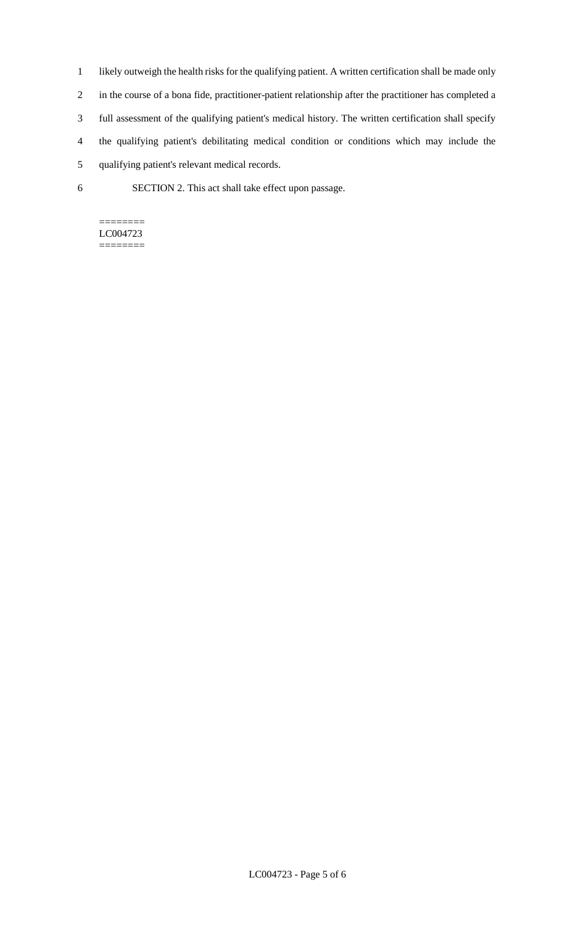- 1 likely outweigh the health risks for the qualifying patient. A written certification shall be made only 2 in the course of a bona fide, practitioner-patient relationship after the practitioner has completed a 3 full assessment of the qualifying patient's medical history. The written certification shall specify 4 the qualifying patient's debilitating medical condition or conditions which may include the 5 qualifying patient's relevant medical records.
- 6 SECTION 2. This act shall take effect upon passage.

#### ======== LC004723 ========